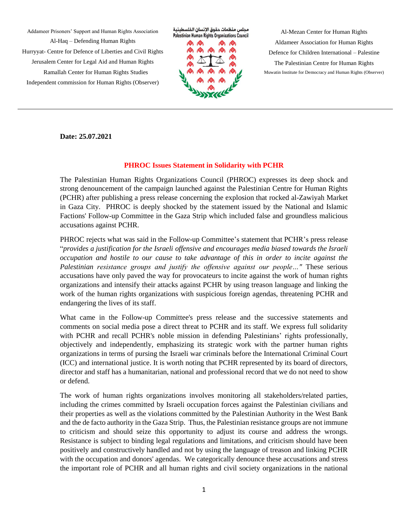Addameer Prisoners' Support and Human Rights Association Al-Haq – Defending Human Rights Hurryyat- Centre for Defence of Liberties and Civil Rights Jerusalem Center for Legal Aid and Human Rights Ramallah Center for Human Rights Studies Independent commission for Human Rights (Observer)

مجلس منظمات حقوق الإنسان الفلسطينية Palestinian Human Rights Organizations Council



Al-Mezan Center for Human Rights Aldameer Association for Human Rights Defence for Children International – Palestine The Palestinian Centre for Human Rights Muwatin Institute for Democracy and Human Rights (Observer)

**Date: 25.07.2021**

## **PHROC Issues Statement in Solidarity with PCHR**

The Palestinian Human Rights Organizations Council (PHROC) expresses its deep shock and strong denouncement of the campaign launched against the Palestinian Centre for Human Rights (PCHR) after publishing a press release concerning the explosion that rocked al-Zawiyah Market in Gaza City. PHROC is deeply shocked by the statement issued by the National and Islamic Factions' Follow-up Committee in the Gaza Strip which included false and groundless malicious accusations against PCHR.

PHROC rejects what was said in the Follow-up Committee's statement that PCHR's press release "*provides a justification for the Israeli offensive and encourages media biased towards the Israeli occupation and hostile to our cause to take advantage of this in order to incite against the Palestinian resistance groups and justify the offensive against our people…"* These serious accusations have only paved the way for provocateurs to incite against the work of human rights organizations and intensify their attacks against PCHR by using treason language and linking the work of the human rights organizations with suspicious foreign agendas, threatening PCHR and endangering the lives of its staff.

What came in the Follow-up Committee's press release and the successive statements and comments on social media pose a direct threat to PCHR and its staff. We express full solidarity with PCHR and recall PCHR's noble mission in defending Palestinians' rights professionally, objectively and independently, emphasizing its strategic work with the partner human rights organizations in terms of pursing the Israeli war criminals before the International Criminal Court (ICC) and international justice. It is worth noting that PCHR represented by its board of directors, director and staff has a humanitarian, national and professional record that we do not need to show or defend.

The work of human rights organizations involves monitoring all stakeholders/related parties, including the crimes committed by Israeli occupation forces against the Palestinian civilians and their properties as well as the violations committed by the Palestinian Authority in the West Bank and the de facto authority in the Gaza Strip. Thus, the Palestinian resistance groups are not immune to criticism and should seize this opportunity to adjust its course and address the wrongs. Resistance is subject to binding legal regulations and limitations, and criticism should have been positively and constructively handled and not by using the language of treason and linking PCHR with the occupation and donors' agendas. We categorically denounce these accusations and stress the important role of PCHR and all human rights and civil society organizations in the national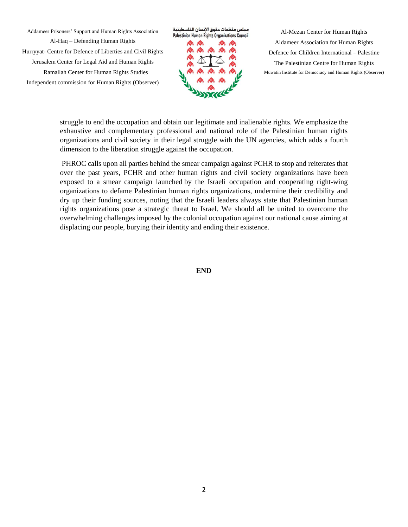Addameer Prisoners' Support and Human Rights Association Al-Haq – Defending Human Rights Hurryyat- Centre for Defence of Liberties and Civil Rights Jerusalem Center for Legal Aid and Human Rights Ramallah Center for Human Rights Studies Independent commission for Human Rights (Observer)



Al-Mezan Center for Human Rights Aldameer Association for Human Rights Defence for Children International – Palestine The Palestinian Centre for Human Rights Muwatin Institute for Democracy and Human Rights (Observer)

struggle to end the occupation and obtain our legitimate and inalienable rights. We emphasize the exhaustive and complementary professional and national role of the Palestinian human rights organizations and civil society in their legal struggle with the UN agencies, which adds a fourth dimension to the liberation struggle against the occupation.

PHROC calls upon all parties behind the smear campaign against PCHR to stop and reiterates that over the past years, PCHR and other human rights and civil society organizations have been exposed to a smear campaign launched by the Israeli occupation and cooperating right-wing organizations to defame Palestinian human rights organizations, undermine their credibility and dry up their funding sources, noting that the Israeli leaders always state that Palestinian human rights organizations pose a strategic threat to Israel. We should all be united to overcome the overwhelming challenges imposed by the colonial occupation against our national cause aiming at displacing our people, burying their identity and ending their existence.

**END**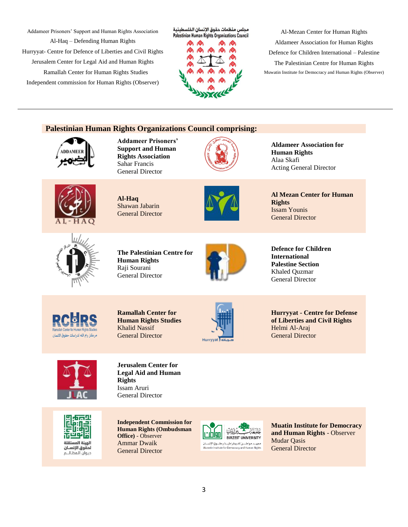Addameer Prisoners' Support and Human Rights Association

Al-Haq – Defending Human Rights Hurryyat- Centre for Defence of Liberties and Civil Rights Jerusalem Center for Legal Aid and Human Rights Ramallah Center for Human Rights Studies Independent commission for Human Rights (Observer)





Al-Mezan Center for Human Rights Aldameer Association for Human Rights Defence for Children International – Palestine The Palestinian Centre for Human Rights Muwatin Institute for Democracy and Human Rights (Observer)

## **Palestinian Human Rights Organizations Council comprising:**



**Addameer Prisoners' Support and Human Rights Association** Sahar Francis General Director



**Aldameer Association for Human Rights** Alaa Skafi Acting General Director



**Al-Haq** Shawan Jabarin General Director



**Al Mezan Center for Human Rights** Issam Younis General Director



**The Palestinian Centre for Human Rights** Raji Sourani General Director



**Defence for Children International Palestine Section** Khaled Quzmar General Director



**Ramallah Center for Human Rights Studies** Khalid Nassif General Director



**Hurryyat - Centre for Defense of Liberties and Civil Rights** Helmi Al-Araj General Director



**Jerusalem Center for Legal Aid and Human Rights** Issam Aruri General Director



**Independent Commission for Human Rights (Ombudsman Office)** - Observer Ammar Dwaik General Director



**Muatin Institute for Democracy and Human Rights** - Observer Mudar Qasis General Director